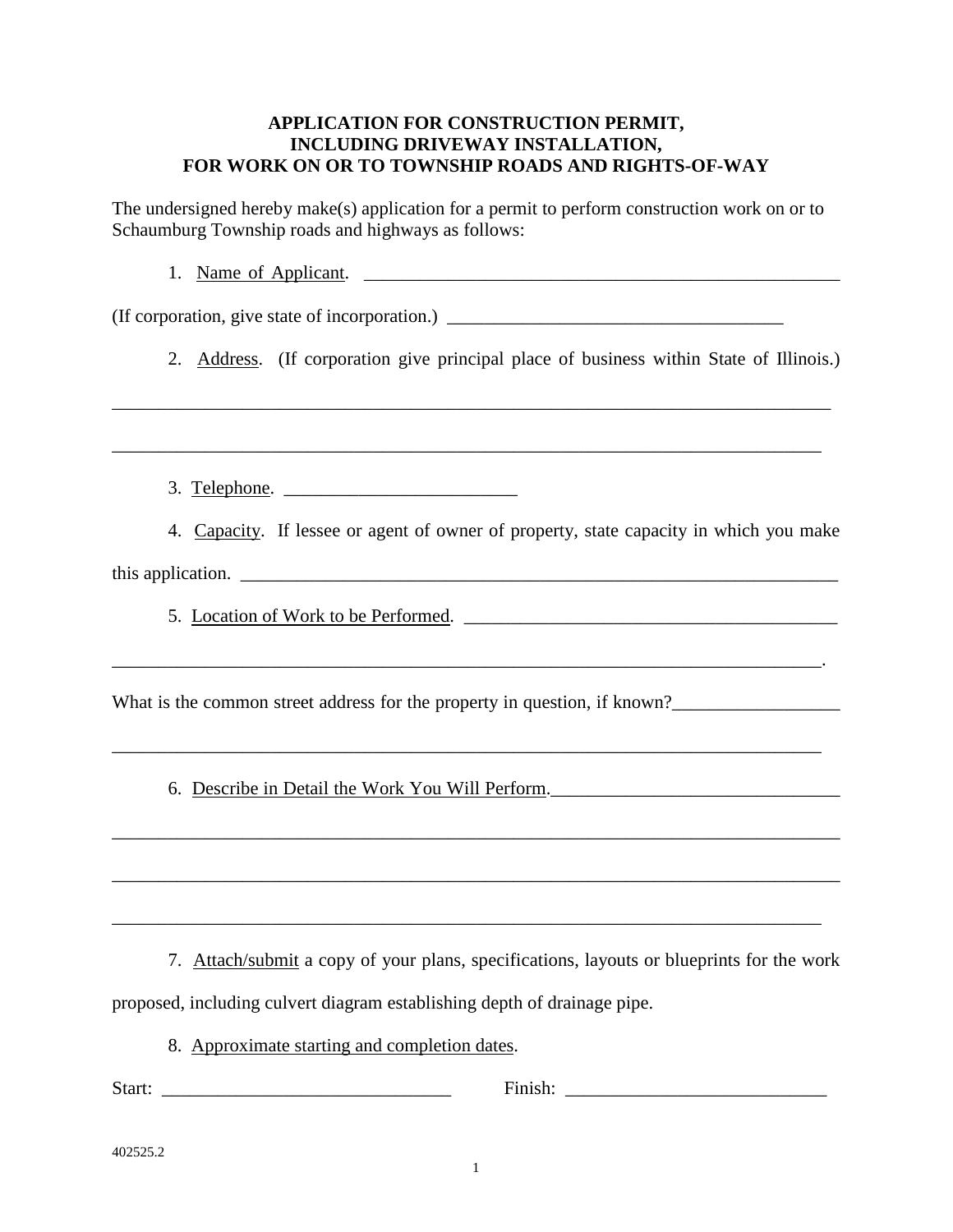### **APPLICATION FOR CONSTRUCTION PERMIT, INCLUDING DRIVEWAY INSTALLATION, FOR WORK ON OR TO TOWNSHIP ROADS AND RIGHTS-OF-WAY**

The undersigned hereby make(s) application for a permit to perform construction work on or to Schaumburg Township roads and highways as follows:

1. Name of Applicant. \_\_\_\_\_\_\_\_\_\_\_\_\_\_\_\_\_\_\_\_\_\_\_\_\_\_\_\_\_\_\_\_\_\_\_\_\_\_\_\_\_\_\_\_\_\_\_\_\_\_\_

(If corporation, give state of incorporation.) \_\_\_\_\_\_\_\_\_\_\_\_\_\_\_\_\_\_\_\_\_\_\_\_\_\_\_\_\_\_\_\_\_\_\_\_

\_\_\_\_\_\_\_\_\_\_\_\_\_\_\_\_\_\_\_\_\_\_\_\_\_\_\_\_\_\_\_\_\_\_\_\_\_\_\_\_\_\_\_\_\_\_\_\_\_\_\_\_\_\_\_\_\_\_\_\_\_\_\_\_\_\_\_\_\_\_\_\_\_\_\_\_\_

\_\_\_\_\_\_\_\_\_\_\_\_\_\_\_\_\_\_\_\_\_\_\_\_\_\_\_\_\_\_\_\_\_\_\_\_\_\_\_\_\_\_\_\_\_\_\_\_\_\_\_\_\_\_\_\_\_\_\_\_\_\_\_\_\_\_\_\_\_\_\_\_\_\_\_\_

2. Address. (If corporation give principal place of business within State of Illinois.)

3. Telephone. \_\_\_\_\_\_\_\_\_\_\_\_\_\_\_\_\_\_\_\_\_\_\_\_\_

4.Capacity. If lessee or agent of owner of property, state capacity in which you make

\_\_\_\_\_\_\_\_\_\_\_\_\_\_\_\_\_\_\_\_\_\_\_\_\_\_\_\_\_\_\_\_\_\_\_\_\_\_\_\_\_\_\_\_\_\_\_\_\_\_\_\_\_\_\_\_\_\_\_\_\_\_\_\_\_\_\_\_\_\_\_\_\_\_\_\_.

this application.  $\Box$ 

5. Location of Work to be Performed.

What is the common street address for the property in question, if known?

6. Describe in Detail the Work You Will Perform.

7. Attach/submit a copy of your plans, specifications, layouts or blueprints for the work proposed, including culvert diagram establishing depth of drainage pipe.

\_\_\_\_\_\_\_\_\_\_\_\_\_\_\_\_\_\_\_\_\_\_\_\_\_\_\_\_\_\_\_\_\_\_\_\_\_\_\_\_\_\_\_\_\_\_\_\_\_\_\_\_\_\_\_\_\_\_\_\_\_\_\_\_\_\_\_\_\_\_\_\_\_\_\_\_\_\_

\_\_\_\_\_\_\_\_\_\_\_\_\_\_\_\_\_\_\_\_\_\_\_\_\_\_\_\_\_\_\_\_\_\_\_\_\_\_\_\_\_\_\_\_\_\_\_\_\_\_\_\_\_\_\_\_\_\_\_\_\_\_\_\_\_\_\_\_\_\_\_\_\_\_\_\_\_\_

\_\_\_\_\_\_\_\_\_\_\_\_\_\_\_\_\_\_\_\_\_\_\_\_\_\_\_\_\_\_\_\_\_\_\_\_\_\_\_\_\_\_\_\_\_\_\_\_\_\_\_\_\_\_\_\_\_\_\_\_\_\_\_\_\_\_\_\_\_\_\_\_\_\_\_\_

8. Approximate starting and completion dates.

Start: The state of the state of the state of the state of the state of the state of the state of the state of the state of the state of the state of the state of the state of the state of the state of the state of the sta

402525.2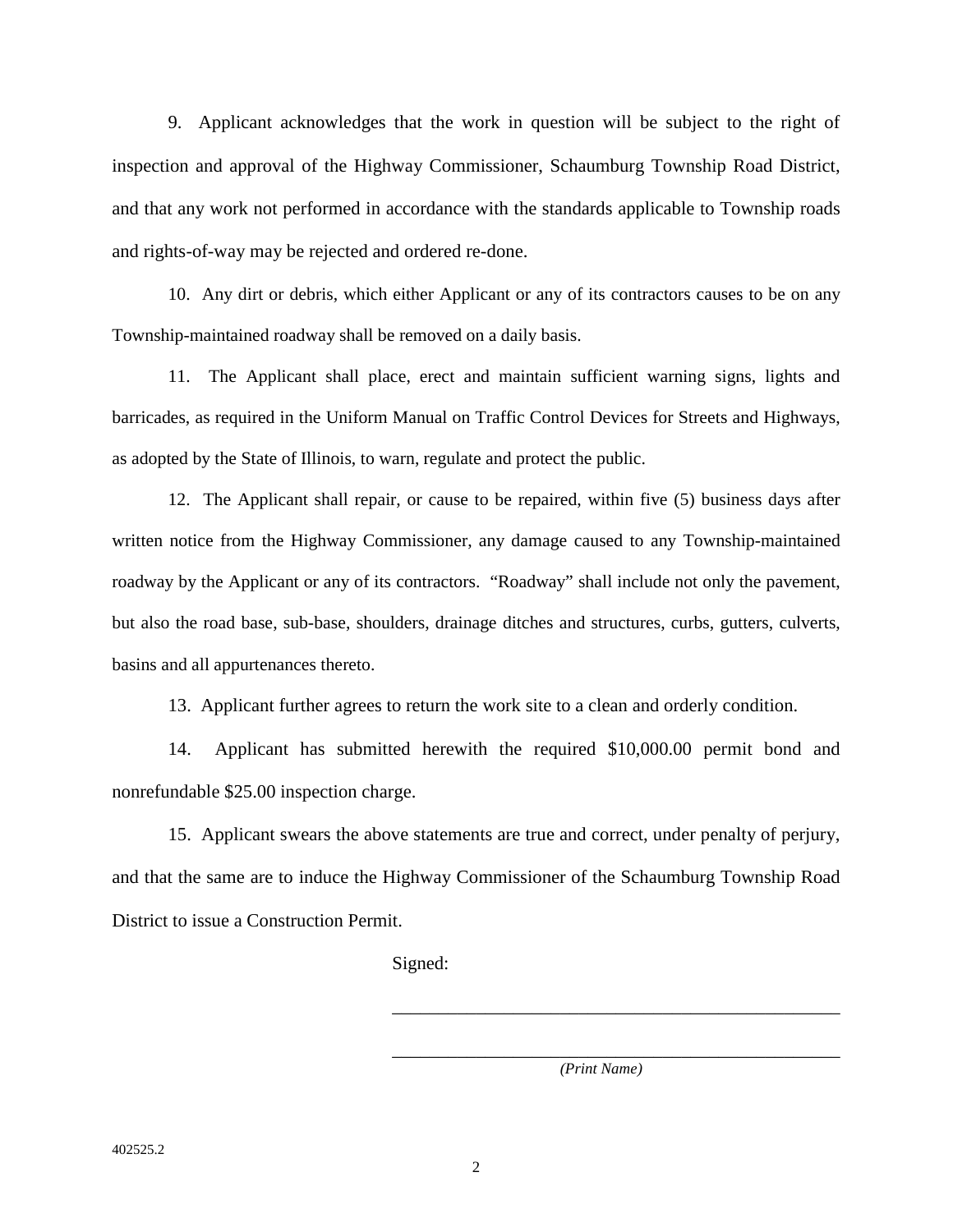9. Applicant acknowledges that the work in question will be subject to the right of inspection and approval of the Highway Commissioner, Schaumburg Township Road District, and that any work not performed in accordance with the standards applicable to Township roads and rights-of-way may be rejected and ordered re-done.

10. Any dirt or debris, which either Applicant or any of its contractors causes to be on any Township-maintained roadway shall be removed on a daily basis.

11. The Applicant shall place, erect and maintain sufficient warning signs, lights and barricades, as required in the Uniform Manual on Traffic Control Devices for Streets and Highways, as adopted by the State of Illinois, to warn, regulate and protect the public.

12. The Applicant shall repair, or cause to be repaired, within five (5) business days after written notice from the Highway Commissioner, any damage caused to any Township-maintained roadway by the Applicant or any of its contractors. "Roadway" shall include not only the pavement, but also the road base, sub-base, shoulders, drainage ditches and structures, curbs, gutters, culverts, basins and all appurtenances thereto.

13. Applicant further agrees to return the work site to a clean and orderly condition.

14. Applicant has submitted herewith the required \$10,000.00 permit bond and nonrefundable \$25.00 inspection charge.

15. Applicant swears the above statements are true and correct, under penalty of perjury, and that the same are to induce the Highway Commissioner of the Schaumburg Township Road District to issue a Construction Permit.

 $\overline{\phantom{a}}$  ,  $\overline{\phantom{a}}$  ,  $\overline{\phantom{a}}$  ,  $\overline{\phantom{a}}$  ,  $\overline{\phantom{a}}$  ,  $\overline{\phantom{a}}$  ,  $\overline{\phantom{a}}$  ,  $\overline{\phantom{a}}$  ,  $\overline{\phantom{a}}$  ,  $\overline{\phantom{a}}$  ,  $\overline{\phantom{a}}$  ,  $\overline{\phantom{a}}$  ,  $\overline{\phantom{a}}$  ,  $\overline{\phantom{a}}$  ,  $\overline{\phantom{a}}$  ,  $\overline{\phantom{a}}$ 

 $\overline{\phantom{a}}$  ,  $\overline{\phantom{a}}$  ,  $\overline{\phantom{a}}$  ,  $\overline{\phantom{a}}$  ,  $\overline{\phantom{a}}$  ,  $\overline{\phantom{a}}$  ,  $\overline{\phantom{a}}$  ,  $\overline{\phantom{a}}$  ,  $\overline{\phantom{a}}$  ,  $\overline{\phantom{a}}$  ,  $\overline{\phantom{a}}$  ,  $\overline{\phantom{a}}$  ,  $\overline{\phantom{a}}$  ,  $\overline{\phantom{a}}$  ,  $\overline{\phantom{a}}$  ,  $\overline{\phantom{a}}$ 

Signed:

*(Print Name)*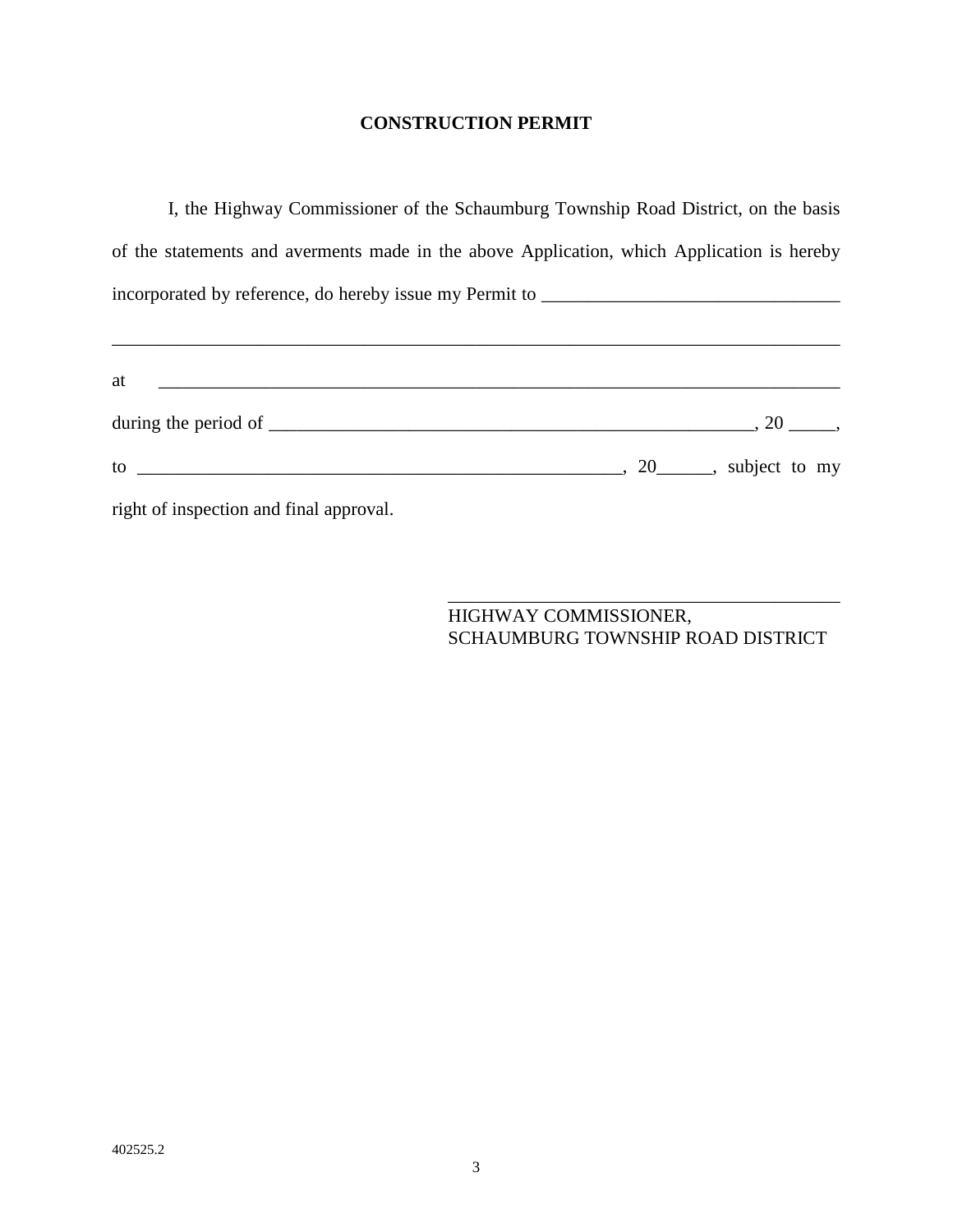## **CONSTRUCTION PERMIT**

I, the Highway Commissioner of the Schaumburg Township Road District, on the basis of the statements and averments made in the above Application, which Application is hereby incorporated by reference, do hereby issue my Permit to \_\_\_\_\_\_\_\_\_\_\_\_\_\_\_\_\_\_\_\_\_\_\_\_\_\_\_\_\_\_\_\_

\_\_\_\_\_\_\_\_\_\_\_\_\_\_\_\_\_\_\_\_\_\_\_\_\_\_\_\_\_\_\_\_\_\_\_\_\_\_\_\_\_\_\_\_\_\_\_\_\_\_\_\_\_\_\_\_\_\_\_\_\_\_\_\_\_\_\_\_\_\_\_\_\_\_\_\_\_\_

| at                                                                                                                                                                                                                                                                                               |                                                    |
|--------------------------------------------------------------------------------------------------------------------------------------------------------------------------------------------------------------------------------------------------------------------------------------------------|----------------------------------------------------|
|                                                                                                                                                                                                                                                                                                  | 20,                                                |
| $\frac{1}{2}$ to $\frac{1}{2}$ to $\frac{1}{2}$ to $\frac{1}{2}$ to $\frac{1}{2}$ to $\frac{1}{2}$ to $\frac{1}{2}$ to $\frac{1}{2}$ to $\frac{1}{2}$ to $\frac{1}{2}$ to $\frac{1}{2}$ to $\frac{1}{2}$ to $\frac{1}{2}$ to $\frac{1}{2}$ to $\frac{1}{2}$ to $\frac{1}{2}$ to $\frac{1}{2}$ to | $\frac{1}{20}$ , 20 $\frac{1}{20}$ , subject to my |
| right of inspection and final approval.                                                                                                                                                                                                                                                          |                                                    |

 $\overline{\phantom{a}}$  , which is a set of the set of the set of the set of the set of the set of the set of the set of the set of the set of the set of the set of the set of the set of the set of the set of the set of the set of th HIGHWAY COMMISSIONER, SCHAUMBURG TOWNSHIP ROAD DISTRICT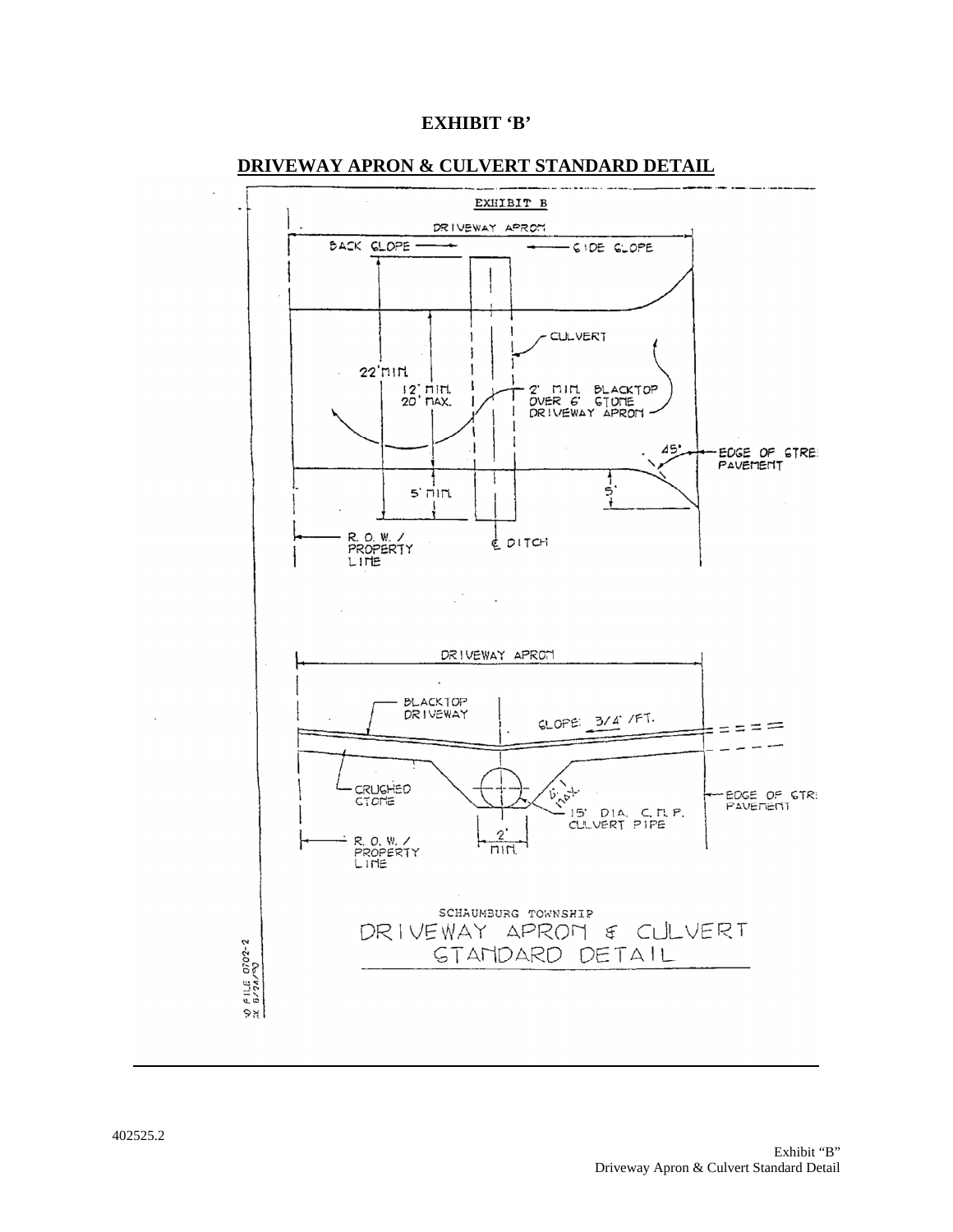



#### **DRIVEWAY APRON & CULVERT STANDARD DETAIL**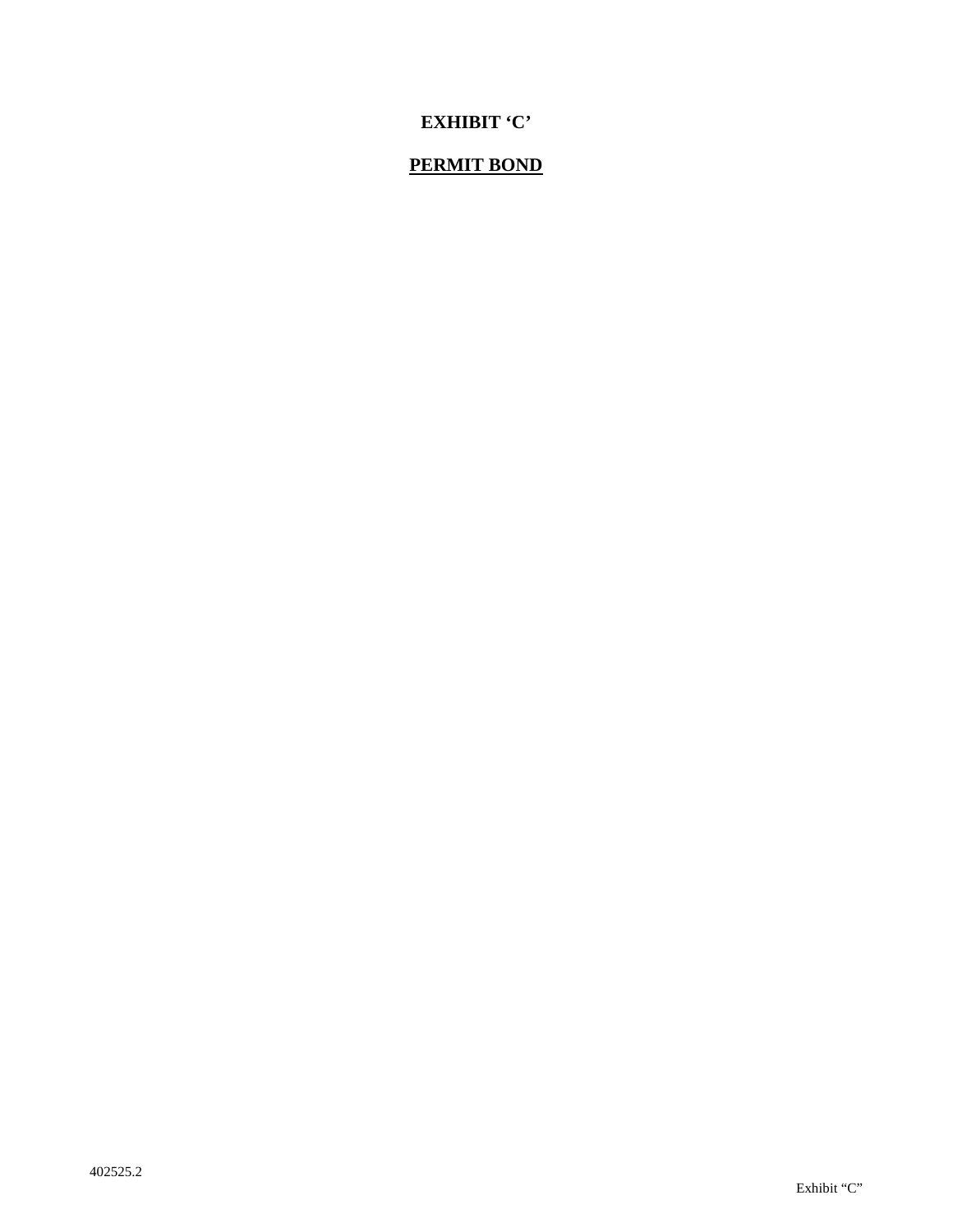# **EXHIBIT 'C'**

# **PERMIT BOND**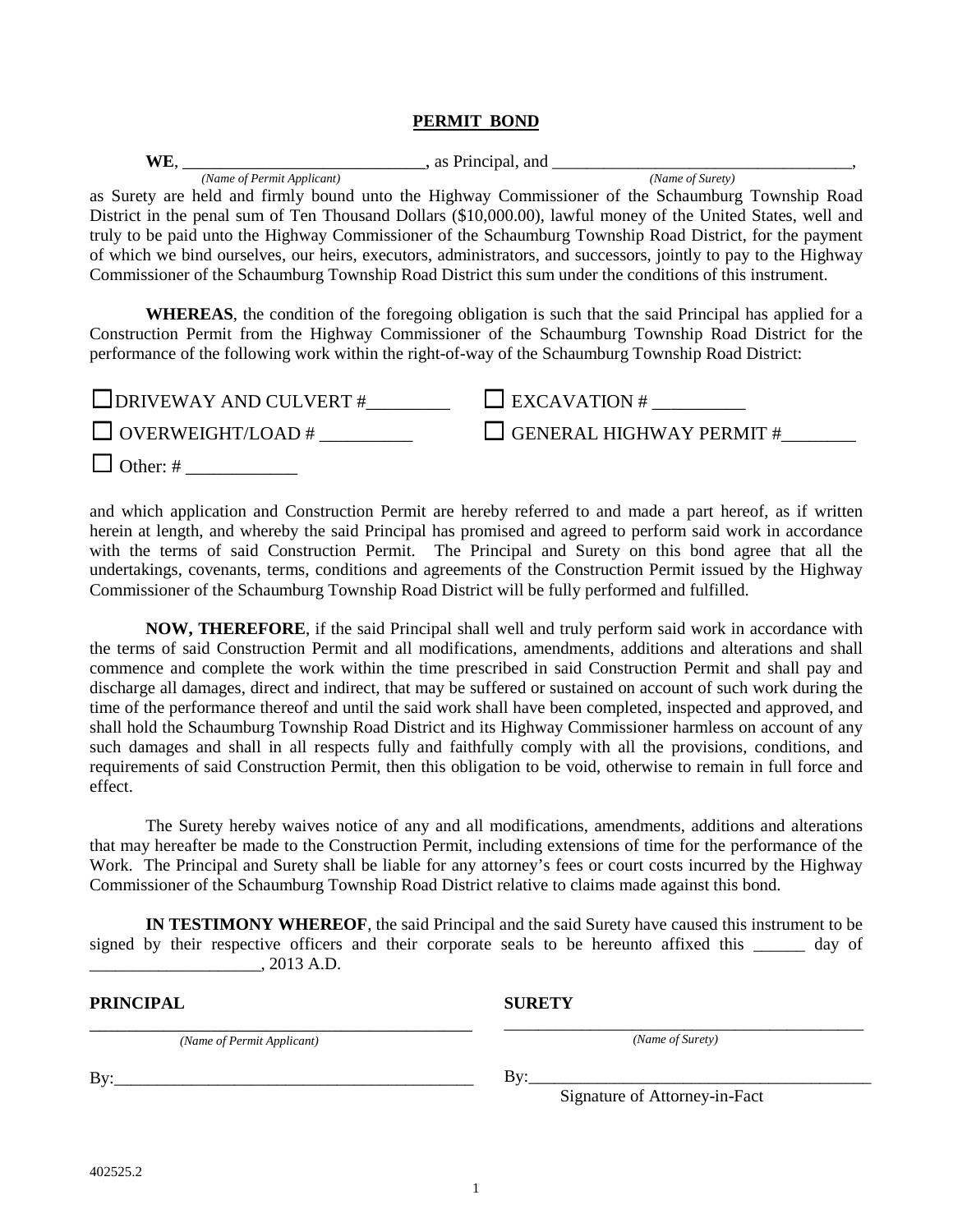#### **PERMIT BOND**

| WE.                        | , as Principal, and                                                                                             |
|----------------------------|-----------------------------------------------------------------------------------------------------------------|
| (Name of Permit Applicant) | (Name of Surety)                                                                                                |
|                            | as Surety are held and firmly bound unto the Highway Commissioner of the Schaumburg Township Road               |
|                            | District in the penal sum of Ten Thousand Dollars (\$10,000.00), lawful money of the United States, well and    |
|                            | truly to be paid unto the Highway Commissioner of the Schaumburg Township Road District, for the payment        |
|                            | of which we bind ourselves, our heirs, executors, administrators, and successors, jointly to pay to the Highway |
|                            | Commissioner of the Schaumburg Township Road District this sum under the conditions of this instrument.         |

**WHEREAS**, the condition of the foregoing obligation is such that the said Principal has applied for a Construction Permit from the Highway Commissioner of the Schaumburg Township Road District for the performance of the following work within the right-of-way of the Schaumburg Township Road District:

| $\Box$ DRIVEWAY AND CULVERT # | $\Box$ EXCAVATION #             |
|-------------------------------|---------------------------------|
| $\Box$ OVERWEIGHT/LOAD #      | $\Box$ GENERAL HIGHWAY PERMIT # |
| $\Box$ Other: #               |                                 |

and which application and Construction Permit are hereby referred to and made a part hereof, as if written herein at length, and whereby the said Principal has promised and agreed to perform said work in accordance with the terms of said Construction Permit. The Principal and Surety on this bond agree that all the undertakings, covenants, terms, conditions and agreements of the Construction Permit issued by the Highway Commissioner of the Schaumburg Township Road District will be fully performed and fulfilled.

**NOW, THEREFORE**, if the said Principal shall well and truly perform said work in accordance with the terms of said Construction Permit and all modifications, amendments, additions and alterations and shall commence and complete the work within the time prescribed in said Construction Permit and shall pay and discharge all damages, direct and indirect, that may be suffered or sustained on account of such work during the time of the performance thereof and until the said work shall have been completed, inspected and approved, and shall hold the Schaumburg Township Road District and its Highway Commissioner harmless on account of any such damages and shall in all respects fully and faithfully comply with all the provisions, conditions, and requirements of said Construction Permit, then this obligation to be void, otherwise to remain in full force and effect.

The Surety hereby waives notice of any and all modifications, amendments, additions and alterations that may hereafter be made to the Construction Permit, including extensions of time for the performance of the Work. The Principal and Surety shall be liable for any attorney's fees or court costs incurred by the Highway Commissioner of the Schaumburg Township Road District relative to claims made against this bond.

**IN TESTIMONY WHEREOF**, the said Principal and the said Surety have caused this instrument to be signed by their respective officers and their corporate seals to be hereunto affixed this day of \_\_\_\_\_\_\_\_\_\_\_\_\_\_\_\_\_\_\_\_, 2013 A.D.

| <b>PRINCIPAL</b>           | <b>SURETY</b>                        |
|----------------------------|--------------------------------------|
| (Name of Permit Applicant) | (Name of Surety)                     |
| By:                        | Bv:<br>Signature of Attorney-in-Fact |